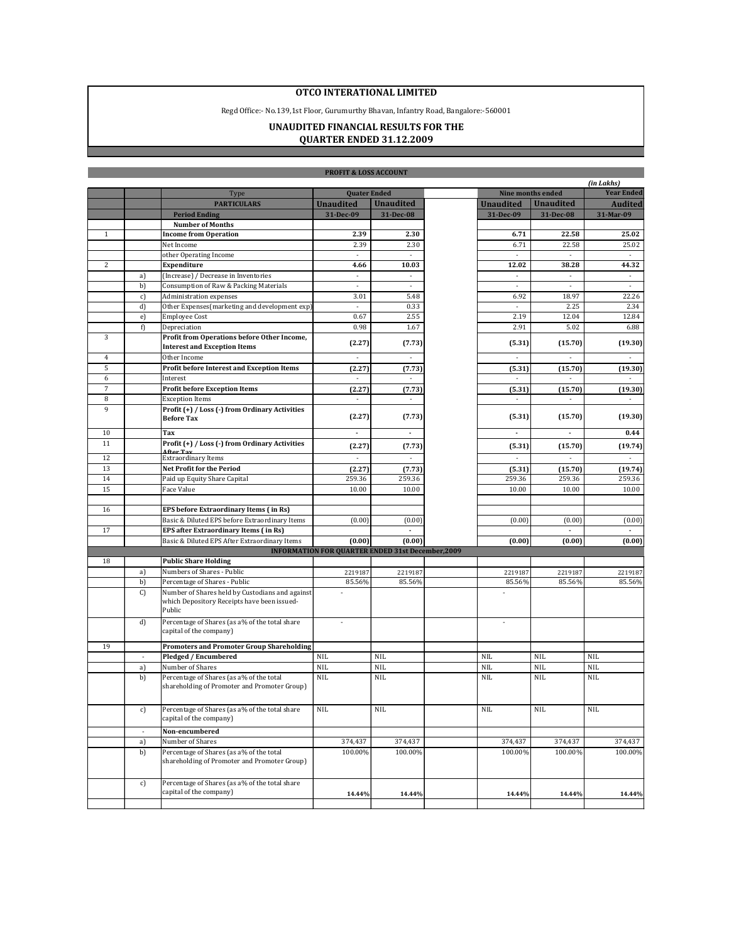## **OTCO INTERATIONAL LIMITED**

Regd Office:- No.139,1st Floor, Gurumurthy Bhavan, Infantry Road, Bangalore:-560001

## **UNAUDITED FINANCIAL RESULTS FOR THE QUARTER ENDED 31.12.2009**

**Tarix** 

|              |                          |                                                                                                          | <b>PROFIT &amp; LOSS ACCOUNT</b>                         |                          |                          |                          |                             |
|--------------|--------------------------|----------------------------------------------------------------------------------------------------------|----------------------------------------------------------|--------------------------|--------------------------|--------------------------|-----------------------------|
|              |                          |                                                                                                          |                                                          |                          |                          |                          | (in Lakhs)                  |
|              |                          | <b>Type</b>                                                                                              | <b>Quater Ended</b>                                      |                          |                          | Nine months ended        | <b>Year Ended</b>           |
|              |                          | <b>PARTICULARS</b>                                                                                       | <b>Unaudited</b>                                         | <b>Unaudited</b>         | <b>Unaudited</b>         | <b>Unaudited</b>         | <b>Audited</b>              |
|              |                          | <b>Period Ending</b>                                                                                     | 31-Dec-09                                                | 31-Dec-08                | 31-Dec-09                | 31-Dec-08                | 31-Mar-09                   |
|              |                          | <b>Number of Months</b>                                                                                  |                                                          |                          |                          |                          |                             |
| $\mathbf{1}$ |                          | <b>Income from Operation</b>                                                                             | 2.39                                                     | 2.30                     | 6.71                     | 22.58                    | 25.02                       |
|              |                          | Net Income                                                                                               | 2.39                                                     | 2.30                     | 6.71                     | 22.58                    | 25.02                       |
|              |                          | other Operating Income                                                                                   | $\mathcal{L}$                                            | $\omega$                 | $\bar{z}$                | $\mathcal{L}$            | $\mathcal{L}$               |
| 2            |                          | Expenditure                                                                                              | 4.66                                                     | 10.03                    | 12.02                    | 38.28                    | 44.32                       |
|              | a)                       | (Increase) / Decrease in Inventories                                                                     | $\mathcal{L}_{\mathcal{A}}$                              | $\overline{\phantom{a}}$ | $\overline{\phantom{a}}$ | $\blacksquare$           | $\mathcal{L}_{\mathcal{A}}$ |
|              | b)                       | Consumption of Raw & Packing Materials                                                                   | $\cdot$                                                  | $\overline{\phantom{a}}$ | ×,                       | $\overline{\phantom{a}}$ | $\overline{\phantom{a}}$    |
|              | c)                       | Administration expenses                                                                                  | 3.01                                                     | 5.48                     | 6.92                     | 18.97                    | 22.26                       |
|              | d)                       | Other Expenses(marketing and development exp)                                                            | $\mathcal{L}$                                            | 0.33                     |                          | 2.25                     | 2.34                        |
|              | e)                       | <b>Employee Cost</b>                                                                                     | 0.67                                                     | 2.55                     | 2.19                     | 12.04                    | 12.84                       |
|              | f)                       | Depreciation                                                                                             | 0.98                                                     | 1.67                     | 2.91                     | 5.02                     | 6.88                        |
| 3            |                          | Profit from Operations before Other Income,<br><b>Interest and Exception Items</b>                       | (2.27)                                                   | (7.73)                   | (5.31)                   | (15.70)                  | (19.30)                     |
| 4            |                          | Other Income                                                                                             | $\overline{\phantom{a}}$                                 | $\overline{\phantom{a}}$ | ×                        | $\overline{\phantom{a}}$ | ×                           |
| 5            |                          | <b>Profit before Interest and Exception Items</b>                                                        | (2.27)                                                   | (7.73)                   | (5.31)                   | (15.70)                  | (19.30)                     |
| 6            |                          | Interest                                                                                                 | $\sim$                                                   | $\sim$                   | $\sim$                   | $\overline{\phantom{a}}$ |                             |
| 7            |                          | <b>Profit before Exception Items</b>                                                                     | (2.27)                                                   | (7.73)                   | (5.31)                   | (15.70)                  | (19.30)                     |
| 8            |                          | <b>Exception Items</b>                                                                                   |                                                          |                          |                          |                          |                             |
| 9            |                          | Profit (+) / Loss (-) from Ordinary Activities<br><b>Before Tax</b>                                      | (2.27)                                                   | (7.73)                   | (5.31)                   | (15.70)                  | (19.30)                     |
| 10           |                          | Tax                                                                                                      | $\overline{\phantom{a}}$                                 | $\overline{\phantom{a}}$ | $\blacksquare$           | $\overline{\phantom{a}}$ | 0.44                        |
| 11           |                          | Profit (+) / Loss (-) from Ordinary Activities                                                           | (2.27)                                                   | (7.73)                   | (5.31)                   | (15.70)                  | (19.74)                     |
|              |                          | After Tax<br><b>Extraordinary Items</b>                                                                  | $\mathcal{L}_{\mathcal{A}}$                              | ×.                       | $\mathcal{L}$            |                          | $\sim$                      |
| 12           |                          |                                                                                                          |                                                          |                          |                          |                          |                             |
| 13           |                          | Net Profit for the Period                                                                                | (2.27)                                                   | (7.73)                   | (5.31)                   | (15.70)                  | (19.74)                     |
| 14           |                          | Paid up Equity Share Capital                                                                             | 259.36                                                   | 259.36                   | 259.36                   | 259.36                   | 259.36                      |
| 15           |                          | Face Value                                                                                               | 10.00                                                    | 10.00                    | 10.00                    | 10.00                    | 10.00                       |
|              |                          |                                                                                                          |                                                          |                          |                          |                          |                             |
| 16           |                          | EPS before Extraordinary Items (in Rs)                                                                   |                                                          |                          |                          |                          |                             |
|              |                          | Basic & Diluted EPS before Extraordinary Items                                                           | (0.00)                                                   | (0.00)                   | (0.00)                   | (0.00)                   | (0.00)                      |
| 17           |                          | <b>EPS after Extraordinary Items (in Rs)</b>                                                             |                                                          |                          |                          |                          |                             |
|              |                          | Basic & Diluted EPS After Extraordinary Items                                                            | (0.00)                                                   | (0.00)                   | (0.00)                   | (0.00)                   | (0.00)                      |
|              |                          |                                                                                                          | <b>INFORMATION FOR QUARTER ENDED 31st December, 2009</b> |                          |                          |                          |                             |
| 18           |                          | <b>Public Share Holding</b>                                                                              |                                                          |                          |                          |                          |                             |
|              | a)                       | Numbers of Shares - Public                                                                               | 2219187                                                  | 2219187                  | 2219187                  | 2219187                  | 2219187                     |
|              | b)                       | Percentage of Shares - Public                                                                            | 85.56%                                                   | 85.56%                   | 85.56%                   | 85.56%                   | 85.56%                      |
|              | C)                       | Number of Shares held by Custodians and against<br>which Depository Receipts have been issued-<br>Public |                                                          |                          |                          |                          |                             |
|              | d)                       | Percentage of Shares (as a% of the total share<br>capital of the company)                                | ä,                                                       |                          |                          |                          |                             |
| 19           |                          | <b>Promoters and Promoter Group Shareholding</b>                                                         |                                                          |                          |                          |                          |                             |
|              |                          | Pledged / Encumbered                                                                                     | <b>NIL</b>                                               | <b>NIL</b>               | <b>NIL</b>               | <b>NIL</b>               | <b>NIL</b>                  |
|              | a)                       | Number of Shares                                                                                         | <b>NIL</b>                                               | <b>NIL</b>               | <b>NIL</b>               | <b>NIL</b>               | <b>NIL</b>                  |
|              | b)                       | Percentage of Shares (as a% of the total<br>shareholding of Promoter and Promoter Group)                 | <b>NIL</b>                                               | <b>NIL</b>               | <b>NIL</b>               | <b>NIL</b>               | <b>NIL</b>                  |
|              | c)                       | Percentage of Shares (as a% of the total share<br>capital of the company)                                | <b>NIL</b>                                               | $\rm NIL$                | <b>NIL</b>               | NIL                      | <b>NIL</b>                  |
|              | $\overline{\phantom{a}}$ | Non-encumbered                                                                                           |                                                          |                          |                          |                          |                             |
|              | a)                       | Number of Shares                                                                                         | 374,437                                                  | 374,437                  | 374,437                  | 374,437                  | 374,437                     |
|              | b)                       | Percentage of Shares (as a% of the total<br>shareholding of Promoter and Promoter Group)                 | 100.00%                                                  | 100.00%                  | 100.00%                  | 100.00%                  | 100.00%                     |
|              | c)                       | Percentage of Shares (as a% of the total share<br>capital of the company)                                | 14.44%                                                   | 14.44%                   | 14.44%                   | 14.44%                   | 14.44%                      |